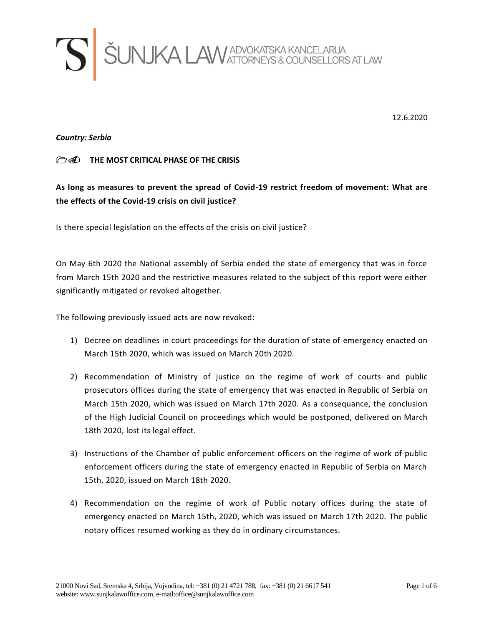

12.6.2020

*Country: Serbia*

## **THE MOST CRITICAL PHASE OF THE CRISIS**

**As long as measures to prevent the spread of Covid-19 restrict freedom of movement: What are the effects of the Covid-19 crisis on civil justice?**

Is there special legislation on the effects of the crisis on civil justice?

On May 6th 2020 the National assembly of Serbia ended the state of emergency that was in force from March 15th 2020 and the restrictive measures related to the subject of this report were either significantly mitigated or revoked altogether.

The following previously issued acts are now revoked:

- 1) Decree on deadlines in court proceedings for the duration of state of emergency enacted on March 15th 2020, which was issued on March 20th 2020.
- 2) Recommendation of Ministry of justice on the regime of work of courts and public prosecutors offices during the state of emergency that was enacted in Republic of Serbia on March 15th 2020, which was issued on March 17th 2020. As a consequance, the conclusion of the High Judicial Council on proceedings which would be postponed, delivered on March 18th 2020, lost its legal effect.
- 3) Instructions of the Chamber of public enforcement officers on the regime of work of public enforcement officers during the state of emergency enacted in Republic of Serbia on March 15th, 2020, issued on March 18th 2020.
- 4) Recommendation on the regime of work of Public notary offices during the state of emergency enacted on March 15th, 2020, which was issued on March 17th 2020. The public notary offices resumed working as they do in ordinary circumstances.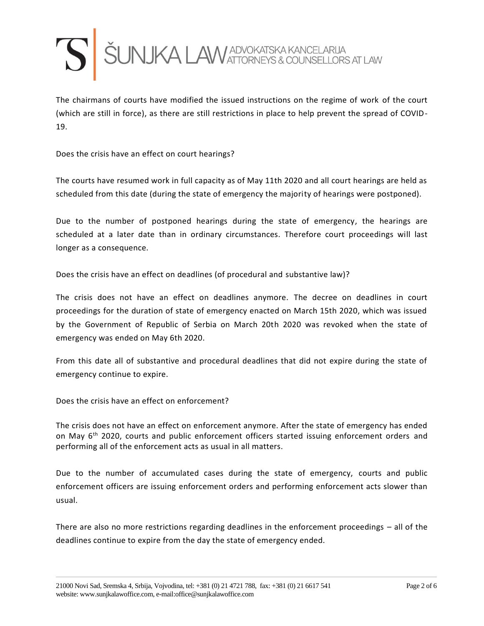

The chairmans of courts have modified the issued instructions on the regime of work of the court (which are still in force), as there are still restrictions in place to help prevent the spread of COVID-19.

Does the crisis have an effect on court hearings?

The courts have resumed work in full capacity as of May 11th 2020 and all court hearings are held as scheduled from this date (during the state of emergency the majority of hearings were postponed).

Due to the number of postponed hearings during the state of emergency, the hearings are scheduled at a later date than in ordinary circumstances. Therefore court proceedings will last longer as a consequence.

Does the crisis have an effect on deadlines (of procedural and substantive law)?

The crisis does not have an effect on deadlines anymore. The decree on deadlines in court proceedings for the duration of state of emergency enacted on March 15th 2020, which was issued by the Government of Republic of Serbia on March 20th 2020 was revoked when the state of emergency was ended on May 6th 2020.

From this date all of substantive and procedural deadlines that did not expire during the state of emergency continue to expire.

Does the crisis have an effect on enforcement?

The crisis does not have an effect on enforcement anymore. After the state of emergency has ended on May  $6<sup>th</sup>$  2020, courts and public enforcement officers started issuing enforcement orders and performing all of the enforcement acts as usual in all matters.

Due to the number of accumulated cases during the state of emergency, courts and public enforcement officers are issuing enforcement orders and performing enforcement acts slower than usual.

There are also no more restrictions regarding deadlines in the enforcement proceedings – all of the deadlines continue to expire from the day the state of emergency ended.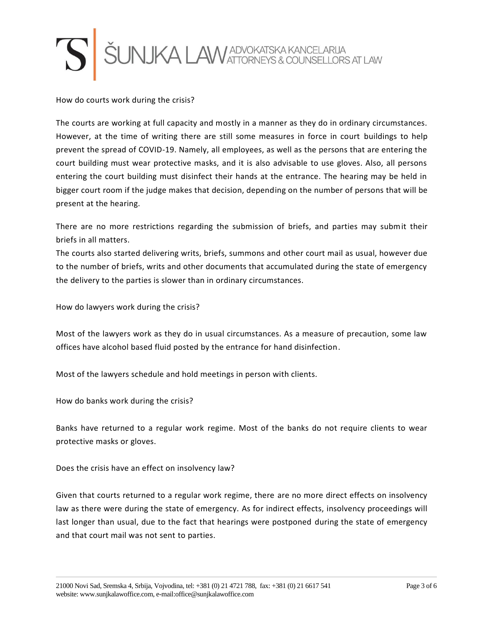

How do courts work during the crisis?

The courts are working at full capacity and mostly in a manner as they do in ordinary circumstances. However, at the time of writing there are still some measures in force in court buildings to help prevent the spread of COVID-19. Namely, all employees, as well as the persons that are entering the court building must wear protective masks, and it is also advisable to use gloves. Also, all persons entering the court building must disinfect their hands at the entrance. The hearing may be held in bigger court room if the judge makes that decision, depending on the number of persons that will be present at the hearing.

There are no more restrictions regarding the submission of briefs, and parties may submit their briefs in all matters.

The courts also started delivering writs, briefs, summons and other court mail as usual, however due to the number of briefs, writs and other documents that accumulated during the state of emergency the delivery to the parties is slower than in ordinary circumstances.

How do lawyers work during the crisis?

Most of the lawyers work as they do in usual circumstances. As a measure of precaution, some law offices have alcohol based fluid posted by the entrance for hand disinfection.

Most of the lawyers schedule and hold meetings in person with clients.

How do banks work during the crisis?

Banks have returned to a regular work regime. Most of the banks do not require clients to wear protective masks or gloves.

Does the crisis have an effect on insolvency law?

Given that courts returned to a regular work regime, there are no more direct effects on insolvency law as there were during the state of emergency. As for indirect effects, insolvency proceedings will last longer than usual, due to the fact that hearings were postponed during the state of emergency and that court mail was not sent to parties.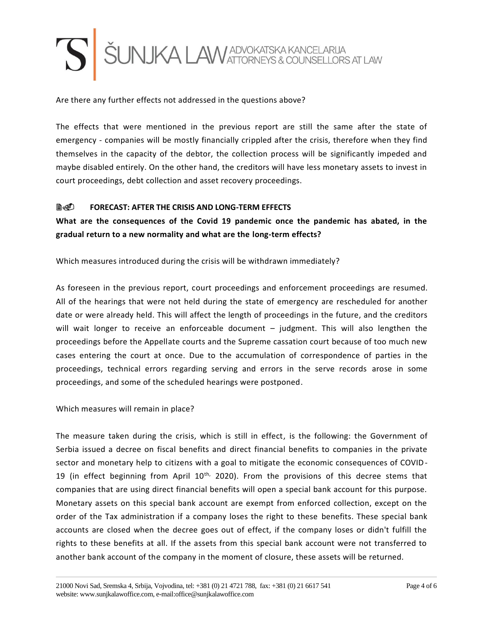

Are there any further effects not addressed in the questions above?

The effects that were mentioned in the previous report are still the same after the state of emergency - companies will be mostly financially crippled after the crisis, therefore when they find themselves in the capacity of the debtor, the collection process will be significantly impeded and maybe disabled entirely. On the other hand, the creditors will have less monetary assets to invest in court proceedings, debt collection and asset recovery proceedings.

## **FORECAST: AFTER THE CRISIS AND LONG-TERM EFFECTS**

**What are the consequences of the Covid 19 pandemic once the pandemic has abated, in the gradual return to a new normality and what are the long-term effects?**

Which measures introduced during the crisis will be withdrawn immediately?

As foreseen in the previous report, court proceedings and enforcement proceedings are resumed. All of the hearings that were not held during the state of emergency are rescheduled for another date or were already held. This will affect the length of proceedings in the future, and the creditors will wait longer to receive an enforceable document – judgment. This will also lengthen the proceedings before the Appellate courts and the Supreme cassation court because of too much new cases entering the court at once. Due to the accumulation of correspondence of parties in the proceedings, technical errors regarding serving and errors in the serve records arose in some proceedings, and some of the scheduled hearings were postponed.

Which measures will remain in place?

The measure taken during the crisis, which is still in effect, is the following: the Government of Serbia issued a decree on fiscal benefits and direct financial benefits to companies in the private sector and monetary help to citizens with a goal to mitigate the economic consequences of COVID-19 (in effect beginning from April  $10<sup>th</sup>$ , 2020). From the provisions of this decree stems that companies that are using direct financial benefits will open a special bank account for this purpose. Monetary assets on this special bank account are exempt from enforced collection, except on the order of the Tax administration if a company loses the right to these benefits. These special bank accounts are closed when the decree goes out of effect, if the company loses or didn't fulfill the rights to these benefits at all. If the assets from this special bank account were not transferred to another bank account of the company in the moment of closure, these assets will be returned.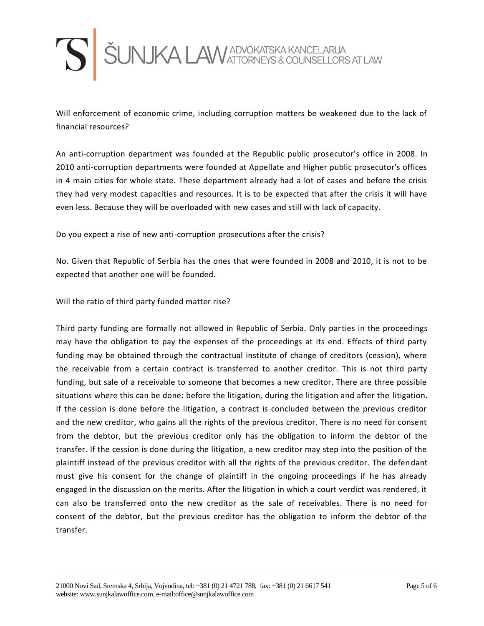

Will enforcement of economic crime, including corruption matters be weakened due to the lack of financial resources?

An anti-corruption department was founded at the Republic public prosecutor's office in 2008. In 2010 anti-corruption departments were founded at Appellate and Higher public prosecutor's offices in 4 main cities for whole state. These department already had a lot of cases and before the crisis they had very modest capacities and resources. It is to be expected that after the crisis it will have even less. Because they will be overloaded with new cases and still with lack of capacity.

Do you expect a rise of new anti-corruption prosecutions after the crisis?

No. Given that Republic of Serbia has the ones that were founded in 2008 and 2010, it is not to be expected that another one will be founded.

Will the ratio of third party funded matter rise?

Third party funding are formally not allowed in Republic of Serbia. Only parties in the proceedings may have the obligation to pay the expenses of the proceedings at its end. Effects of third party funding may be obtained through the contractual institute of change of creditors (cession), where the receivable from a certain contract is transferred to another creditor. This is not third party funding, but sale of a receivable to someone that becomes a new creditor. There are three possible situations where this can be done: before the litigation, during the litigation and after the litigation. If the cession is done before the litigation, a contract is concluded between the previous creditor and the new creditor, who gains all the rights of the previous creditor. There is no need for consent from the debtor, but the previous creditor only has the obligation to inform the debtor of the transfer. If the cession is done during the litigation, a new creditor may step into the position of the plaintiff instead of the previous creditor with all the rights of the previous creditor. The defendant must give his consent for the change of plaintiff in the ongoing proceedings if he has already engaged in the discussion on the merits. After the litigation in which a court verdict was rendered, it can also be transferred onto the new creditor as the sale of receivables. There is no need for consent of the debtor, but the previous creditor has the obligation to inform the debtor of the transfer.